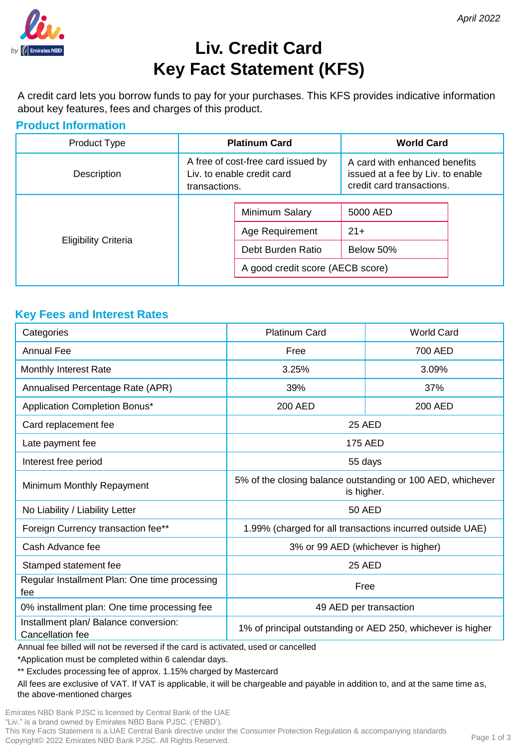

# **Liv. Credit Card Key Fact Statement (KFS)**

A credit card lets you borrow funds to pay for your purchases. This KFS provides indicative information about key features, fees and charges of this product.

## **Product Information**

| Product Type                | <b>Platinum Card</b>                                                              |                                                                                            | <b>World Card</b>                                                                               |  |
|-----------------------------|-----------------------------------------------------------------------------------|--------------------------------------------------------------------------------------------|-------------------------------------------------------------------------------------------------|--|
| Description                 | A free of cost-free card issued by<br>Liv. to enable credit card<br>transactions. |                                                                                            | A card with enhanced benefits<br>issued at a fee by Liv. to enable<br>credit card transactions. |  |
| <b>Eligibility Criteria</b> |                                                                                   | Minimum Salary<br>Age Requirement<br>Debt Burden Ratio<br>A good credit score (AECB score) | 5000 AED<br>$21+$<br>Below 50%                                                                  |  |

#### **Key Fees and Interest Rates**

| Categories                                                | <b>Platinum Card</b>                                                      | <b>World Card</b> |
|-----------------------------------------------------------|---------------------------------------------------------------------------|-------------------|
| Annual Fee                                                | Free                                                                      | 700 AED           |
| Monthly Interest Rate                                     | 3.25%                                                                     | 3.09%             |
| Annualised Percentage Rate (APR)                          | 39%                                                                       | 37%               |
| Application Completion Bonus*                             | 200 AED                                                                   | 200 AED           |
| Card replacement fee                                      | <b>25 AED</b>                                                             |                   |
| Late payment fee                                          | 175 AED                                                                   |                   |
| Interest free period                                      | 55 days                                                                   |                   |
| Minimum Monthly Repayment                                 | 5% of the closing balance outstanding or 100 AED, whichever<br>is higher. |                   |
| No Liability / Liability Letter                           | 50 AED                                                                    |                   |
| Foreign Currency transaction fee**                        | 1.99% (charged for all transactions incurred outside UAE)                 |                   |
| Cash Advance fee                                          | 3% or 99 AED (whichever is higher)                                        |                   |
| Stamped statement fee                                     | <b>25 AED</b>                                                             |                   |
| Regular Installment Plan: One time processing<br>fee      | Free                                                                      |                   |
| 0% installment plan: One time processing fee              | 49 AED per transaction                                                    |                   |
| Installment plan/ Balance conversion:<br>Cancellation fee | 1% of principal outstanding or AED 250, whichever is higher               |                   |

Annual fee billed will not be reversed if the card is activated, used or cancelled

\*Application must be completed within 6 calendar days.

\*\* Excludes processing fee of approx. 1.15% charged by Mastercard

All fees are exclusive of VAT. If VAT is applicable, it will be chargeable and payable in addition to, and at the same time as, the above-mentioned charges

Emirates NBD Bank PJSC is licensed by Central Bank of the UAE "Liv." is a brand owned by Emirates NBD Bank PJSC. ('ENBD'). This Key Facts Statement is a UAE Central Bank directive under the Consumer Protection Regulation & accompanying standards Copyright© 2022 Emirates NBD Bank PJSC. All Rights Reserved.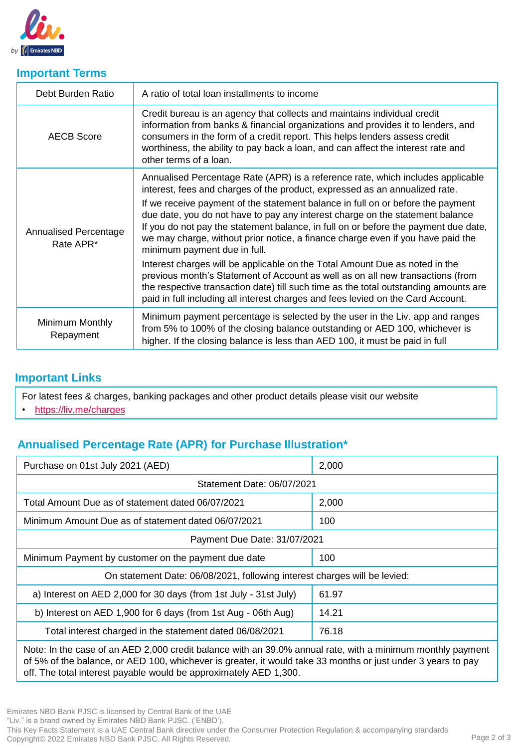

#### **Important Terms**

| Debt Burden Ratio                  | A ratio of total loan installments to income                                                                                                                                                                                                                                                                                                                               |
|------------------------------------|----------------------------------------------------------------------------------------------------------------------------------------------------------------------------------------------------------------------------------------------------------------------------------------------------------------------------------------------------------------------------|
| <b>AECB Score</b>                  | Credit bureau is an agency that collects and maintains individual credit<br>information from banks & financial organizations and provides it to lenders, and<br>consumers in the form of a credit report. This helps lenders assess credit<br>worthiness, the ability to pay back a loan, and can affect the interest rate and<br>other terms of a loan.                   |
| Annualised Percentage<br>Rate APR* | Annualised Percentage Rate (APR) is a reference rate, which includes applicable<br>interest, fees and charges of the product, expressed as an annualized rate.                                                                                                                                                                                                             |
|                                    | If we receive payment of the statement balance in full on or before the payment<br>due date, you do not have to pay any interest charge on the statement balance<br>If you do not pay the statement balance, in full on or before the payment due date,<br>we may charge, without prior notice, a finance charge even if you have paid the<br>minimum payment due in full. |
|                                    | Interest charges will be applicable on the Total Amount Due as noted in the<br>previous month's Statement of Account as well as on all new transactions (from<br>the respective transaction date) till such time as the total outstanding amounts are<br>paid in full including all interest charges and fees levied on the Card Account.                                  |
| Minimum Monthly<br>Repayment       | Minimum payment percentage is selected by the user in the Liv. app and ranges<br>from 5% to 100% of the closing balance outstanding or AED 100, whichever is<br>higher. If the closing balance is less than AED 100, it must be paid in full                                                                                                                               |

## **Important Links**

For latest fees & charges, banking packages and other product details please visit our website

• <https://liv.me/charges>

# **Annualised Percentage Rate (APR) for Purchase Illustration\***

| Purchase on 01st July 2021 (AED)                                          | 2,000 |  |  |  |
|---------------------------------------------------------------------------|-------|--|--|--|
| Statement Date: 06/07/2021                                                |       |  |  |  |
| Total Amount Due as of statement dated 06/07/2021                         | 2,000 |  |  |  |
| Minimum Amount Due as of statement dated 06/07/2021                       | 100   |  |  |  |
| Payment Due Date: 31/07/2021                                              |       |  |  |  |
| Minimum Payment by customer on the payment due date                       | 100   |  |  |  |
| On statement Date: 06/08/2021, following interest charges will be levied: |       |  |  |  |
| a) Interest on AED 2,000 for 30 days (from 1st July - 31st July)          | 61.97 |  |  |  |
| b) Interest on AED 1,900 for 6 days (from 1st Aug - 06th Aug)             | 14.21 |  |  |  |
| Total interest charged in the statement dated 06/08/2021                  | 76.18 |  |  |  |
|                                                                           |       |  |  |  |

Note: In the case of an AED 2,000 credit balance with an 39.0% annual rate, with a minimum monthly payment of 5% of the balance, or AED 100, whichever is greater, it would take 33 months or just under 3 years to pay off. The total interest payable would be approximately AED 1,300.